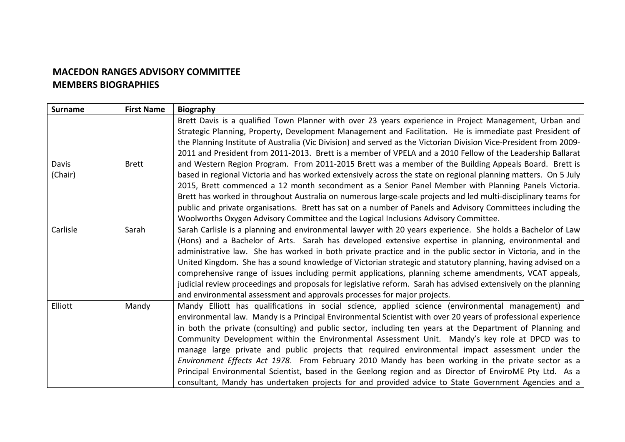## **MACEDON RANGES ADVISORY COMMITTEE MEMBERS BIOGRAPHIES**

| <b>Surname</b> | <b>First Name</b> | <b>Biography</b>                                                                                                                                                                                                                                                                                                                                                                                                                                                                                                                                                                                                                                                                                                                                                                                                                                                  |
|----------------|-------------------|-------------------------------------------------------------------------------------------------------------------------------------------------------------------------------------------------------------------------------------------------------------------------------------------------------------------------------------------------------------------------------------------------------------------------------------------------------------------------------------------------------------------------------------------------------------------------------------------------------------------------------------------------------------------------------------------------------------------------------------------------------------------------------------------------------------------------------------------------------------------|
| Davis          | <b>Brett</b>      | Brett Davis is a qualified Town Planner with over 23 years experience in Project Management, Urban and<br>Strategic Planning, Property, Development Management and Facilitation. He is immediate past President of<br>the Planning Institute of Australia (Vic Division) and served as the Victorian Division Vice-President from 2009-<br>2011 and President from 2011-2013. Brett is a member of VPELA and a 2010 Fellow of the Leadership Ballarat<br>and Western Region Program. From 2011-2015 Brett was a member of the Building Appeals Board. Brett is                                                                                                                                                                                                                                                                                                    |
| (Chair)        |                   | based in regional Victoria and has worked extensively across the state on regional planning matters. On 5 July<br>2015, Brett commenced a 12 month secondment as a Senior Panel Member with Planning Panels Victoria.<br>Brett has worked in throughout Australia on numerous large-scale projects and led multi-disciplinary teams for<br>public and private organisations. Brett has sat on a number of Panels and Advisory Committees including the<br>Woolworths Oxygen Advisory Committee and the Logical Inclusions Advisory Committee.                                                                                                                                                                                                                                                                                                                     |
| Carlisle       | Sarah             | Sarah Carlisle is a planning and environmental lawyer with 20 years experience. She holds a Bachelor of Law<br>(Hons) and a Bachelor of Arts. Sarah has developed extensive expertise in planning, environmental and<br>administrative law. She has worked in both private practice and in the public sector in Victoria, and in the<br>United Kingdom. She has a sound knowledge of Victorian strategic and statutory planning, having advised on a<br>comprehensive range of issues including permit applications, planning scheme amendments, VCAT appeals,<br>judicial review proceedings and proposals for legislative reform. Sarah has advised extensively on the planning<br>and environmental assessment and approvals processes for major projects.                                                                                                     |
| Elliott        | Mandy             | Mandy Elliott has qualifications in social science, applied science (environmental management) and<br>environmental law. Mandy is a Principal Environmental Scientist with over 20 years of professional experience<br>in both the private (consulting) and public sector, including ten years at the Department of Planning and<br>Community Development within the Environmental Assessment Unit. Mandy's key role at DPCD was to<br>manage large private and public projects that required environmental impact assessment under the<br>Environment Effects Act 1978. From February 2010 Mandy has been working in the private sector as a<br>Principal Environmental Scientist, based in the Geelong region and as Director of EnviroME Pty Ltd. As a<br>consultant, Mandy has undertaken projects for and provided advice to State Government Agencies and a |